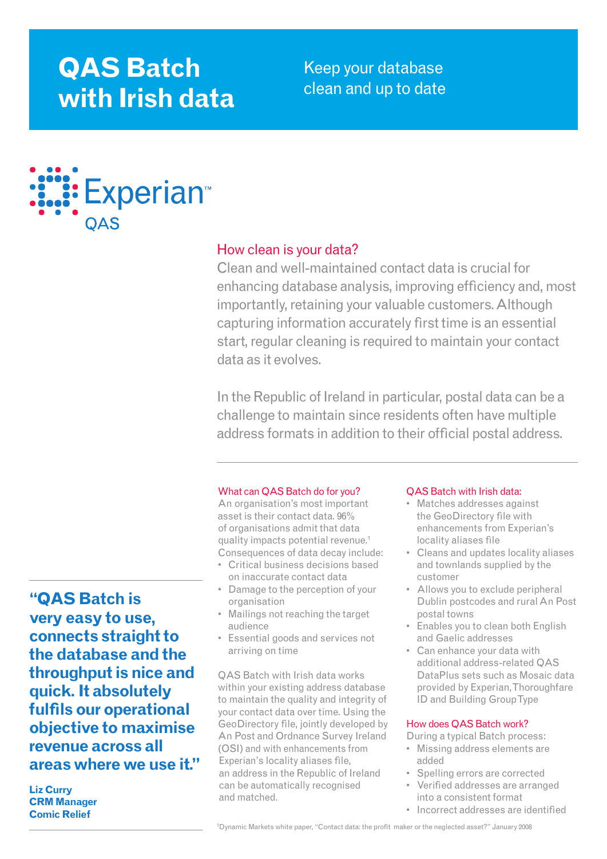# **QAS Batch with Irish data**

Keep your database clean and up to date



# How clean is your data?

Clean and well-maintained contact data is crucial for enhancing database analysis, improving efficiency and, most importantly, retaining your valuable customers. Although capturing information accurately first time is an essential start, regular cleaning is required to maintain your contact data as it evolves.

In the Republic of Ireland in particular, postal data can be a challenge to maintain since residents often have multiple address formats in addition to their official postal address.

# What can QAS Batch do for you?

An organisation's most important asset is their contact data. 96% of organisations admit that data quality impacts potential revenue.<sup>1</sup> Consequences of data decay include:

- • Critical business decisions based on inaccurate contact data
- Damage to the perception of your organisation
- Mailings not reaching the target audience
- Essential goods and services not arriving on time

QAS Batch with Irish data works within your existing address database to maintain the quality and integrity of your contact data over time. Using the GeoDirectory file, jointly developed by An Post and Ordnance Survey Ireland (OSI) and with enhancements from Experian's locality aliases file, an address in the Republic of Ireland can be automatically recognised and matched.

# QAS Batch with Irish data:

- Matches addresses against the GeoDirectory file with enhancements from Experian's locality aliases file
- Cleans and updates locality aliases and townlands supplied by the customer
- Allows you to exclude peripheral Dublin postcodes and ruralAn Post postal towns
- Enables you to clean both English and Gaelic addresses
- Can enhance your data with additional address-related QAS DataPlus sets such as Mosaic data provided by Experian,Thoroughfare ID and Building GroupType

# How does QAS Batch work?

During a typical Batch process:

- • Missing address elements are added
- Spelling errors are corrected
- Verified addresses are arranged into a consistent format
- Incorrect addresses are identified

**"QAS Batch is very easy to use, connects straight to the database and the throughput is nice and quick. It absolutely fulfils our operational objective to maximise revenue across all areas where we use it."**

**Liz Curry CRM Manager Comic Relief**